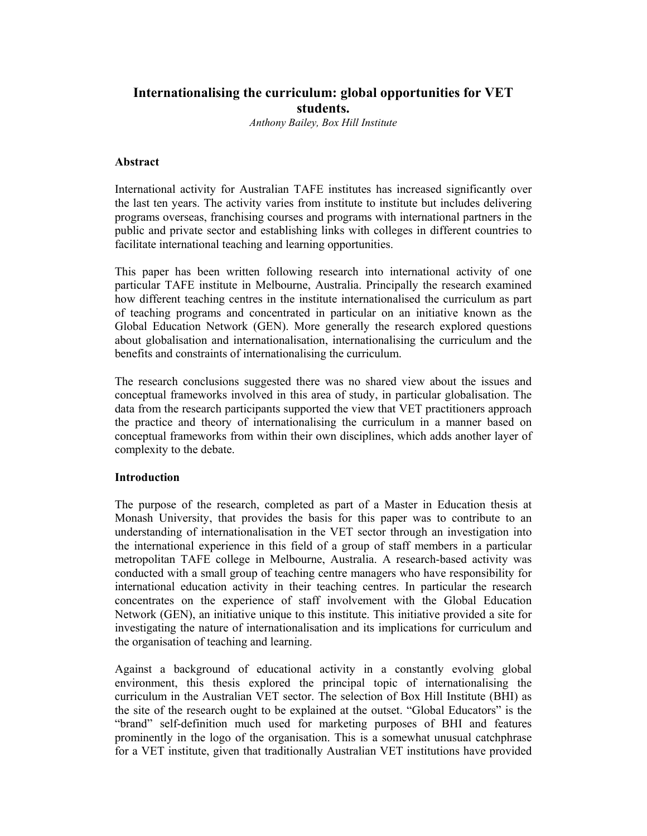# **Internationalising the curriculum: global opportunities for VET students.**

*Anthony Bailey, Box Hill Institute* 

### **Abstract**

International activity for Australian TAFE institutes has increased significantly over the last ten years. The activity varies from institute to institute but includes delivering programs overseas, franchising courses and programs with international partners in the public and private sector and establishing links with colleges in different countries to facilitate international teaching and learning opportunities.

This paper has been written following research into international activity of one particular TAFE institute in Melbourne, Australia. Principally the research examined how different teaching centres in the institute internationalised the curriculum as part of teaching programs and concentrated in particular on an initiative known as the Global Education Network (GEN). More generally the research explored questions about globalisation and internationalisation, internationalising the curriculum and the benefits and constraints of internationalising the curriculum.

The research conclusions suggested there was no shared view about the issues and conceptual frameworks involved in this area of study, in particular globalisation. The data from the research participants supported the view that VET practitioners approach the practice and theory of internationalising the curriculum in a manner based on conceptual frameworks from within their own disciplines, which adds another layer of complexity to the debate.

#### **Introduction**

The purpose of the research, completed as part of a Master in Education thesis at Monash University, that provides the basis for this paper was to contribute to an understanding of internationalisation in the VET sector through an investigation into the international experience in this field of a group of staff members in a particular metropolitan TAFE college in Melbourne, Australia. A research-based activity was conducted with a small group of teaching centre managers who have responsibility for international education activity in their teaching centres. In particular the research concentrates on the experience of staff involvement with the Global Education Network (GEN), an initiative unique to this institute. This initiative provided a site for investigating the nature of internationalisation and its implications for curriculum and the organisation of teaching and learning.

Against a background of educational activity in a constantly evolving global environment, this thesis explored the principal topic of internationalising the curriculum in the Australian VET sector. The selection of Box Hill Institute (BHI) as the site of the research ought to be explained at the outset. "Global Educators" is the "brand" self-definition much used for marketing purposes of BHI and features prominently in the logo of the organisation. This is a somewhat unusual catchphrase for a VET institute, given that traditionally Australian VET institutions have provided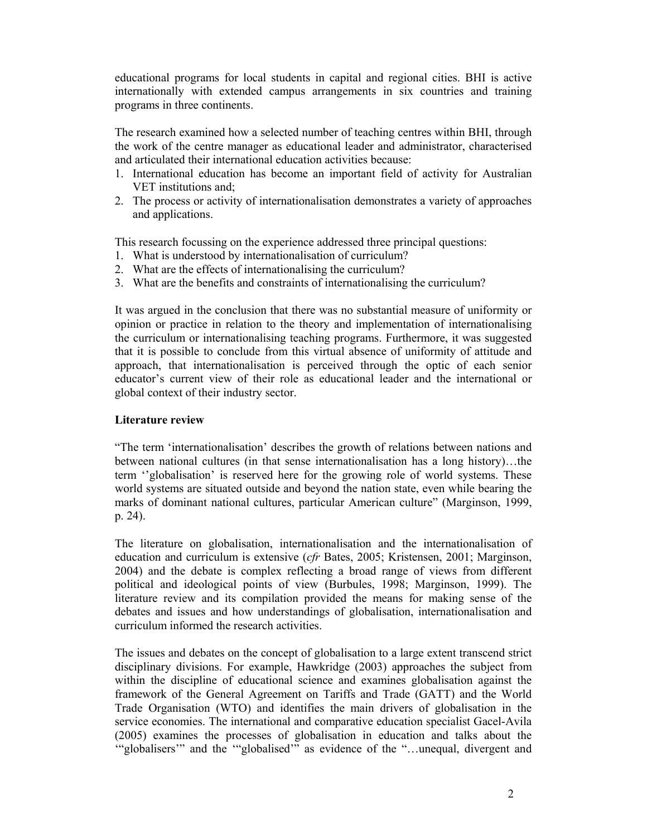educational programs for local students in capital and regional cities. BHI is active internationally with extended campus arrangements in six countries and training programs in three continents.

The research examined how a selected number of teaching centres within BHI, through the work of the centre manager as educational leader and administrator, characterised and articulated their international education activities because:

- 1. International education has become an important field of activity for Australian VET institutions and;
- 2. The process or activity of internationalisation demonstrates a variety of approaches and applications.

This research focussing on the experience addressed three principal questions:

- 1. What is understood by internationalisation of curriculum?
- 2. What are the effects of internationalising the curriculum?
- 3. What are the benefits and constraints of internationalising the curriculum?

It was argued in the conclusion that there was no substantial measure of uniformity or opinion or practice in relation to the theory and implementation of internationalising the curriculum or internationalising teaching programs. Furthermore, it was suggested that it is possible to conclude from this virtual absence of uniformity of attitude and approach, that internationalisation is perceived through the optic of each senior educator's current view of their role as educational leader and the international or global context of their industry sector.

## **Literature review**

"The term 'internationalisation' describes the growth of relations between nations and between national cultures (in that sense internationalisation has a long history)…the term ''globalisation' is reserved here for the growing role of world systems. These world systems are situated outside and beyond the nation state, even while bearing the marks of dominant national cultures, particular American culture" (Marginson, 1999, p. 24).

The literature on globalisation, internationalisation and the internationalisation of education and curriculum is extensive (*cfr* Bates, 2005; Kristensen, 2001; Marginson, 2004) and the debate is complex reflecting a broad range of views from different political and ideological points of view (Burbules, 1998; Marginson, 1999). The literature review and its compilation provided the means for making sense of the debates and issues and how understandings of globalisation, internationalisation and curriculum informed the research activities.

The issues and debates on the concept of globalisation to a large extent transcend strict disciplinary divisions. For example, Hawkridge (2003) approaches the subject from within the discipline of educational science and examines globalisation against the framework of the General Agreement on Tariffs and Trade (GATT) and the World Trade Organisation (WTO) and identifies the main drivers of globalisation in the service economies. The international and comparative education specialist Gacel-Avila (2005) examines the processes of globalisation in education and talks about the '"globalisers'" and the '"globalised'" as evidence of the "…unequal, divergent and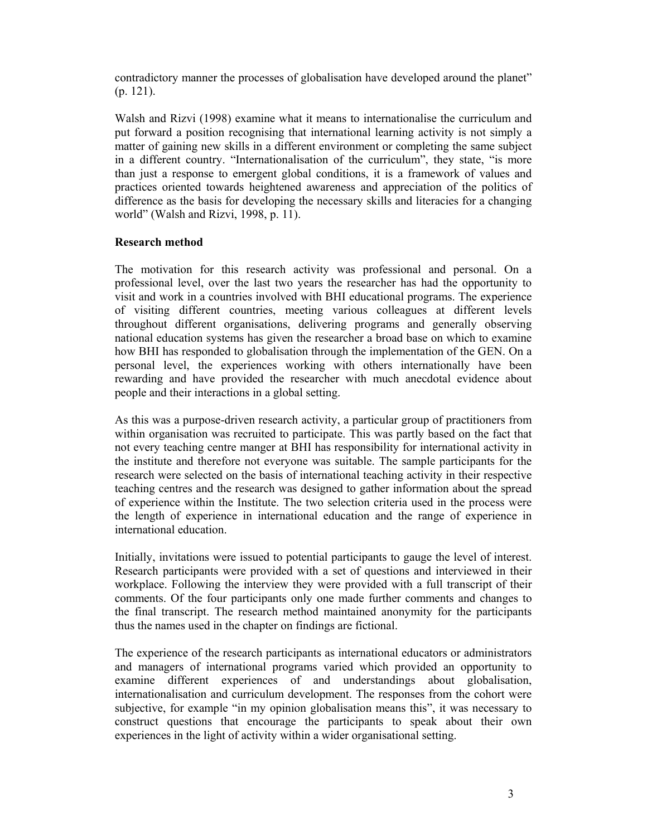contradictory manner the processes of globalisation have developed around the planet" (p. 121).

Walsh and Rizvi (1998) examine what it means to internationalise the curriculum and put forward a position recognising that international learning activity is not simply a matter of gaining new skills in a different environment or completing the same subject in a different country. "Internationalisation of the curriculum", they state, "is more than just a response to emergent global conditions, it is a framework of values and practices oriented towards heightened awareness and appreciation of the politics of difference as the basis for developing the necessary skills and literacies for a changing world" (Walsh and Rizvi, 1998, p. 11).

### **Research method**

The motivation for this research activity was professional and personal. On a professional level, over the last two years the researcher has had the opportunity to visit and work in a countries involved with BHI educational programs. The experience of visiting different countries, meeting various colleagues at different levels throughout different organisations, delivering programs and generally observing national education systems has given the researcher a broad base on which to examine how BHI has responded to globalisation through the implementation of the GEN. On a personal level, the experiences working with others internationally have been rewarding and have provided the researcher with much anecdotal evidence about people and their interactions in a global setting.

As this was a purpose-driven research activity, a particular group of practitioners from within organisation was recruited to participate. This was partly based on the fact that not every teaching centre manger at BHI has responsibility for international activity in the institute and therefore not everyone was suitable. The sample participants for the research were selected on the basis of international teaching activity in their respective teaching centres and the research was designed to gather information about the spread of experience within the Institute. The two selection criteria used in the process were the length of experience in international education and the range of experience in international education.

Initially, invitations were issued to potential participants to gauge the level of interest. Research participants were provided with a set of questions and interviewed in their workplace. Following the interview they were provided with a full transcript of their comments. Of the four participants only one made further comments and changes to the final transcript. The research method maintained anonymity for the participants thus the names used in the chapter on findings are fictional.

The experience of the research participants as international educators or administrators and managers of international programs varied which provided an opportunity to examine different experiences of and understandings about globalisation, internationalisation and curriculum development. The responses from the cohort were subjective, for example "in my opinion globalisation means this", it was necessary to construct questions that encourage the participants to speak about their own experiences in the light of activity within a wider organisational setting.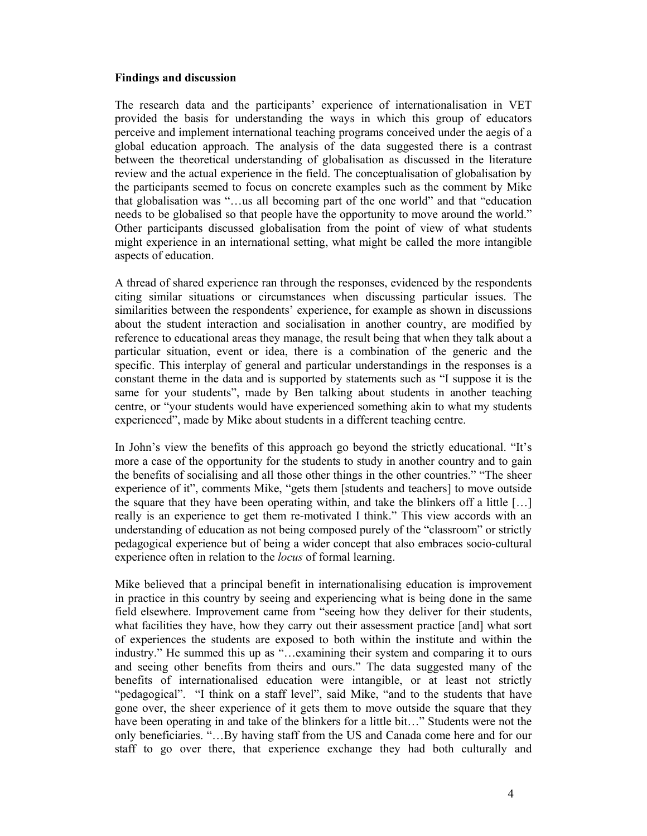#### **Findings and discussion**

The research data and the participants' experience of internationalisation in VET provided the basis for understanding the ways in which this group of educators perceive and implement international teaching programs conceived under the aegis of a global education approach. The analysis of the data suggested there is a contrast between the theoretical understanding of globalisation as discussed in the literature review and the actual experience in the field. The conceptualisation of globalisation by the participants seemed to focus on concrete examples such as the comment by Mike that globalisation was "…us all becoming part of the one world" and that "education needs to be globalised so that people have the opportunity to move around the world." Other participants discussed globalisation from the point of view of what students might experience in an international setting, what might be called the more intangible aspects of education.

A thread of shared experience ran through the responses, evidenced by the respondents citing similar situations or circumstances when discussing particular issues. The similarities between the respondents' experience, for example as shown in discussions about the student interaction and socialisation in another country, are modified by reference to educational areas they manage, the result being that when they talk about a particular situation, event or idea, there is a combination of the generic and the specific. This interplay of general and particular understandings in the responses is a constant theme in the data and is supported by statements such as "I suppose it is the same for your students", made by Ben talking about students in another teaching centre, or "your students would have experienced something akin to what my students experienced", made by Mike about students in a different teaching centre.

In John's view the benefits of this approach go beyond the strictly educational. "It's more a case of the opportunity for the students to study in another country and to gain the benefits of socialising and all those other things in the other countries." "The sheer experience of it", comments Mike, "gets them [students and teachers] to move outside the square that they have been operating within, and take the blinkers off a little  $[\dots]$ really is an experience to get them re-motivated I think." This view accords with an understanding of education as not being composed purely of the "classroom" or strictly pedagogical experience but of being a wider concept that also embraces socio-cultural experience often in relation to the *locus* of formal learning.

Mike believed that a principal benefit in internationalising education is improvement in practice in this country by seeing and experiencing what is being done in the same field elsewhere. Improvement came from "seeing how they deliver for their students, what facilities they have, how they carry out their assessment practice [and] what sort of experiences the students are exposed to both within the institute and within the industry." He summed this up as "…examining their system and comparing it to ours and seeing other benefits from theirs and ours." The data suggested many of the benefits of internationalised education were intangible, or at least not strictly "pedagogical". "I think on a staff level", said Mike, "and to the students that have gone over, the sheer experience of it gets them to move outside the square that they have been operating in and take of the blinkers for a little bit…" Students were not the only beneficiaries. "…By having staff from the US and Canada come here and for our staff to go over there, that experience exchange they had both culturally and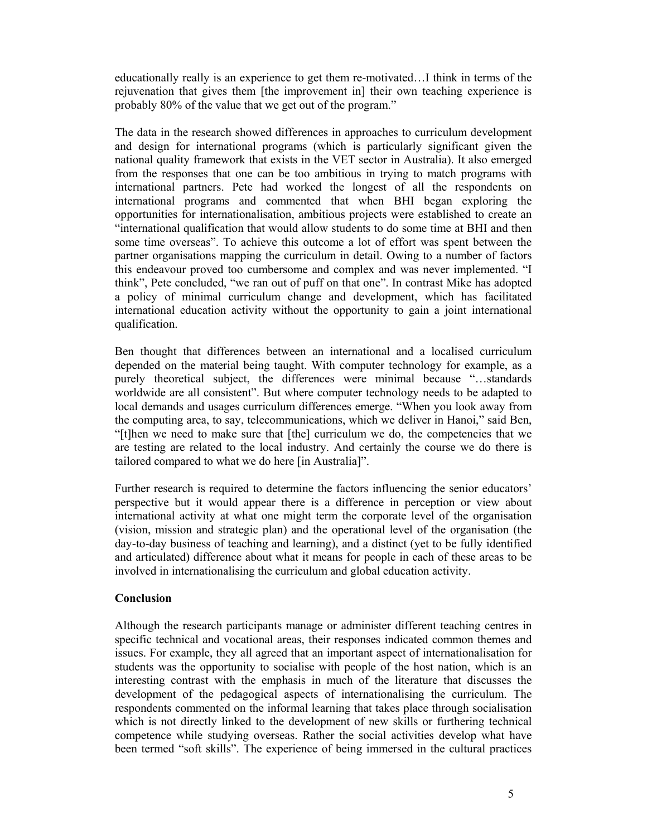educationally really is an experience to get them re-motivated…I think in terms of the rejuvenation that gives them [the improvement in] their own teaching experience is probably 80% of the value that we get out of the program."

The data in the research showed differences in approaches to curriculum development and design for international programs (which is particularly significant given the national quality framework that exists in the VET sector in Australia). It also emerged from the responses that one can be too ambitious in trying to match programs with international partners. Pete had worked the longest of all the respondents on international programs and commented that when BHI began exploring the opportunities for internationalisation, ambitious projects were established to create an "international qualification that would allow students to do some time at BHI and then some time overseas". To achieve this outcome a lot of effort was spent between the partner organisations mapping the curriculum in detail. Owing to a number of factors this endeavour proved too cumbersome and complex and was never implemented. "I think", Pete concluded, "we ran out of puff on that one". In contrast Mike has adopted a policy of minimal curriculum change and development, which has facilitated international education activity without the opportunity to gain a joint international qualification.

Ben thought that differences between an international and a localised curriculum depended on the material being taught. With computer technology for example, as a purely theoretical subject, the differences were minimal because "…standards worldwide are all consistent". But where computer technology needs to be adapted to local demands and usages curriculum differences emerge. "When you look away from the computing area, to say, telecommunications, which we deliver in Hanoi," said Ben, "[t]hen we need to make sure that [the] curriculum we do, the competencies that we are testing are related to the local industry. And certainly the course we do there is tailored compared to what we do here [in Australia]".

Further research is required to determine the factors influencing the senior educators' perspective but it would appear there is a difference in perception or view about international activity at what one might term the corporate level of the organisation (vision, mission and strategic plan) and the operational level of the organisation (the day-to-day business of teaching and learning), and a distinct (yet to be fully identified and articulated) difference about what it means for people in each of these areas to be involved in internationalising the curriculum and global education activity.

#### **Conclusion**

Although the research participants manage or administer different teaching centres in specific technical and vocational areas, their responses indicated common themes and issues. For example, they all agreed that an important aspect of internationalisation for students was the opportunity to socialise with people of the host nation, which is an interesting contrast with the emphasis in much of the literature that discusses the development of the pedagogical aspects of internationalising the curriculum. The respondents commented on the informal learning that takes place through socialisation which is not directly linked to the development of new skills or furthering technical competence while studying overseas. Rather the social activities develop what have been termed "soft skills". The experience of being immersed in the cultural practices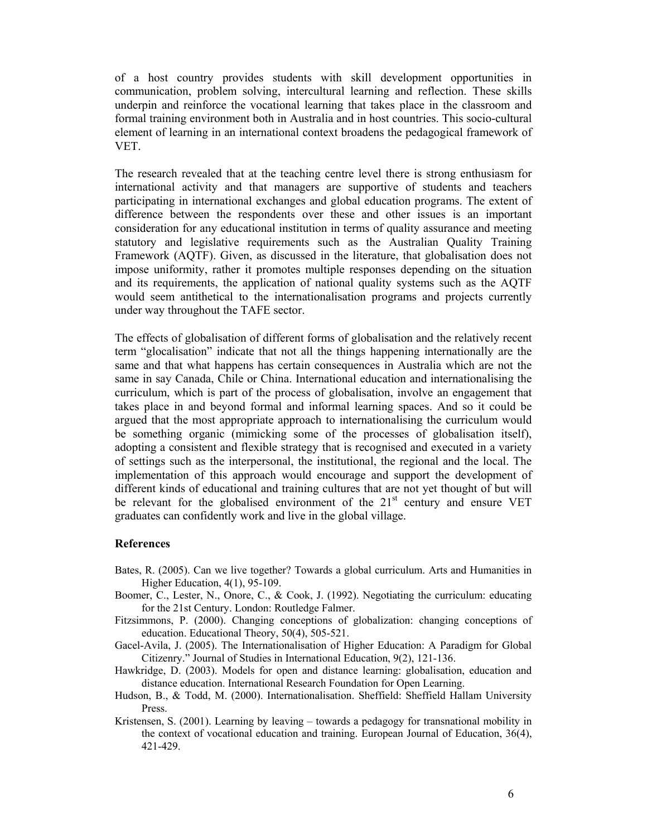of a host country provides students with skill development opportunities in communication, problem solving, intercultural learning and reflection. These skills underpin and reinforce the vocational learning that takes place in the classroom and formal training environment both in Australia and in host countries. This socio-cultural element of learning in an international context broadens the pedagogical framework of VET.

The research revealed that at the teaching centre level there is strong enthusiasm for international activity and that managers are supportive of students and teachers participating in international exchanges and global education programs. The extent of difference between the respondents over these and other issues is an important consideration for any educational institution in terms of quality assurance and meeting statutory and legislative requirements such as the Australian Quality Training Framework (AQTF). Given, as discussed in the literature, that globalisation does not impose uniformity, rather it promotes multiple responses depending on the situation and its requirements, the application of national quality systems such as the AQTF would seem antithetical to the internationalisation programs and projects currently under way throughout the TAFE sector.

The effects of globalisation of different forms of globalisation and the relatively recent term "glocalisation" indicate that not all the things happening internationally are the same and that what happens has certain consequences in Australia which are not the same in say Canada, Chile or China. International education and internationalising the curriculum, which is part of the process of globalisation, involve an engagement that takes place in and beyond formal and informal learning spaces. And so it could be argued that the most appropriate approach to internationalising the curriculum would be something organic (mimicking some of the processes of globalisation itself), adopting a consistent and flexible strategy that is recognised and executed in a variety of settings such as the interpersonal, the institutional, the regional and the local. The implementation of this approach would encourage and support the development of different kinds of educational and training cultures that are not yet thought of but will be relevant for the globalised environment of the 21<sup>st</sup> century and ensure VET graduates can confidently work and live in the global village.

#### **References**

- Bates, R. (2005). Can we live together? Towards a global curriculum. Arts and Humanities in Higher Education, 4(1), 95-109.
- Boomer, C., Lester, N., Onore, C., & Cook, J. (1992). Negotiating the curriculum: educating for the 21st Century. London: Routledge Falmer.
- Fitzsimmons, P. (2000). Changing conceptions of globalization: changing conceptions of education. Educational Theory, 50(4), 505-521.
- Gacel-Avila, J. (2005). The Internationalisation of Higher Education: A Paradigm for Global Citizenry." Journal of Studies in International Education, 9(2), 121-136.
- Hawkridge, D. (2003). Models for open and distance learning: globalisation, education and distance education. International Research Foundation for Open Learning.
- Hudson, B., & Todd, M. (2000). Internationalisation. Sheffield: Sheffield Hallam University Press.
- Kristensen, S. (2001). Learning by leaving towards a pedagogy for transnational mobility in the context of vocational education and training. European Journal of Education, 36(4), 421-429.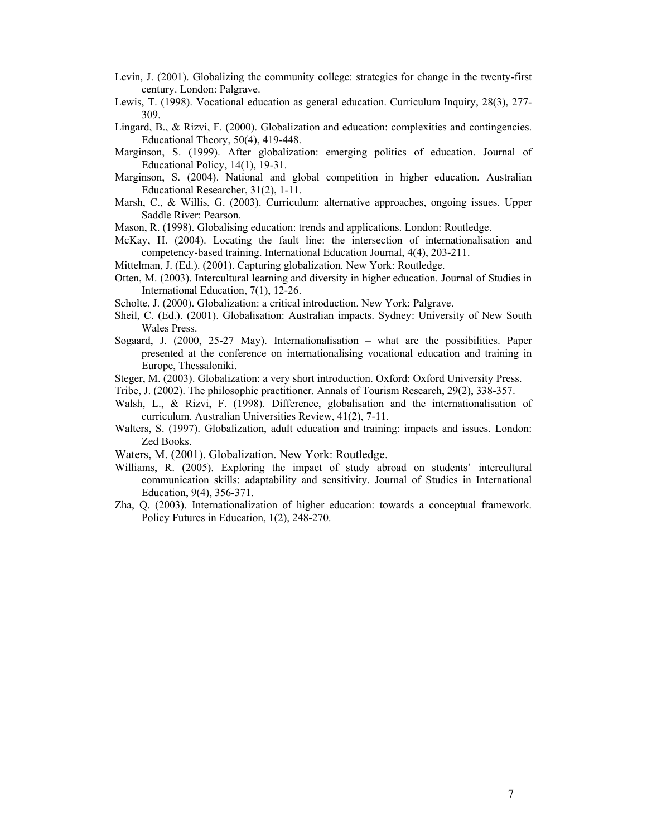- Levin, J. (2001). Globalizing the community college: strategies for change in the twenty-first century. London: Palgrave.
- Lewis, T. (1998). Vocational education as general education. Curriculum Inquiry, 28(3), 277- 309.
- Lingard, B., & Rizvi, F. (2000). Globalization and education: complexities and contingencies. Educational Theory, 50(4), 419-448.
- Marginson, S. (1999). After globalization: emerging politics of education. Journal of Educational Policy, 14(1), 19-31.
- Marginson, S. (2004). National and global competition in higher education. Australian Educational Researcher, 31(2), 1-11.
- Marsh, C., & Willis, G. (2003). Curriculum: alternative approaches, ongoing issues. Upper Saddle River: Pearson.

Mason, R. (1998). Globalising education: trends and applications. London: Routledge.

- McKay, H. (2004). Locating the fault line: the intersection of internationalisation and competency-based training. International Education Journal, 4(4), 203-211.
- Mittelman, J. (Ed.). (2001). Capturing globalization. New York: Routledge.
- Otten, M. (2003). Intercultural learning and diversity in higher education. Journal of Studies in International Education, 7(1), 12-26.
- Scholte, J. (2000). Globalization: a critical introduction. New York: Palgrave.
- Sheil, C. (Ed.). (2001). Globalisation: Australian impacts. Sydney: University of New South Wales Press.
- Sogaard, J. (2000, 25-27 May). Internationalisation what are the possibilities. Paper presented at the conference on internationalising vocational education and training in Europe, Thessaloniki.
- Steger, M. (2003). Globalization: a very short introduction. Oxford: Oxford University Press.
- Tribe, J. (2002). The philosophic practitioner. Annals of Tourism Research, 29(2), 338-357.
- Walsh, L., & Rizvi, F. (1998). Difference, globalisation and the internationalisation of curriculum. Australian Universities Review, 41(2), 7-11.
- Walters, S. (1997). Globalization, adult education and training: impacts and issues. London: Zed Books.
- Waters, M. (2001). Globalization. New York: Routledge.
- Williams, R. (2005). Exploring the impact of study abroad on students' intercultural communication skills: adaptability and sensitivity. Journal of Studies in International Education, 9(4), 356-371.
- Zha, Q. (2003). Internationalization of higher education: towards a conceptual framework. Policy Futures in Education, 1(2), 248-270.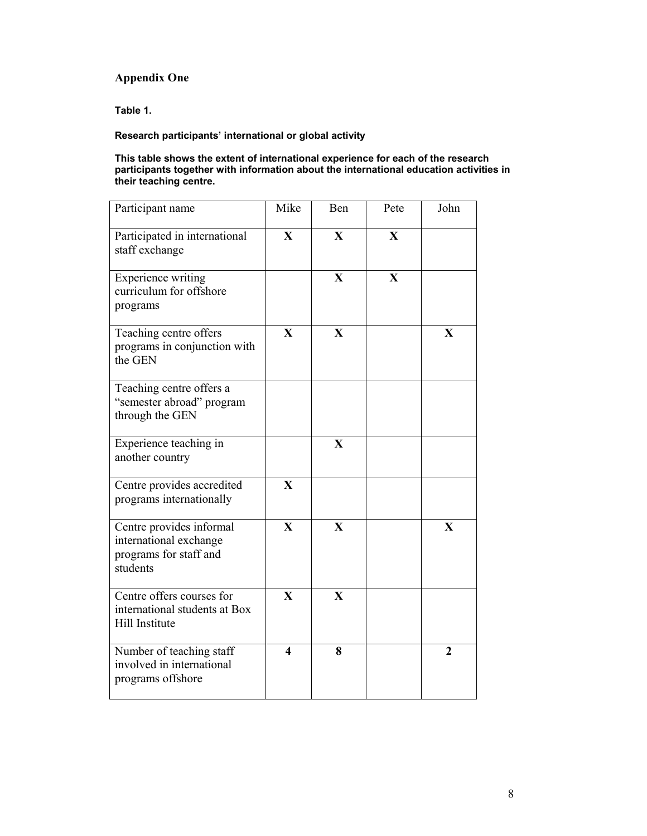# **Appendix One**

**Table 1.** 

## **Research participants' international or global activity**

#### **This table shows the extent of international experience for each of the research participants together with information about the international education activities in their teaching centre.**

| Participant name                                                                         | Mike                    | Ben                     | Pete         | John                    |
|------------------------------------------------------------------------------------------|-------------------------|-------------------------|--------------|-------------------------|
| Participated in international<br>staff exchange                                          | $\mathbf X$             | $\mathbf X$             | $\mathbf X$  |                         |
| <b>Experience writing</b><br>curriculum for offshore<br>programs                         |                         | $\overline{\mathbf{X}}$ | $\mathbf{X}$ |                         |
| Teaching centre offers<br>programs in conjunction with<br>the GEN                        | $\overline{\mathbf{X}}$ | $\overline{\mathbf{X}}$ |              | $\mathbf{X}$            |
| Teaching centre offers a<br>"semester abroad" program<br>through the GEN                 |                         |                         |              |                         |
| Experience teaching in<br>another country                                                |                         | X                       |              |                         |
| Centre provides accredited<br>programs internationally                                   | $\mathbf{X}$            |                         |              |                         |
| Centre provides informal<br>international exchange<br>programs for staff and<br>students | $\mathbf{X}$            | $\overline{\mathbf{X}}$ |              | $\overline{\mathbf{X}}$ |
| Centre offers courses for<br>international students at Box<br>Hill Institute             | $\mathbf{X}$            | $\mathbf{X}$            |              |                         |
| Number of teaching staff<br>involved in international<br>programs offshore               | $\overline{\mathbf{4}}$ | 8                       |              | $\overline{2}$          |